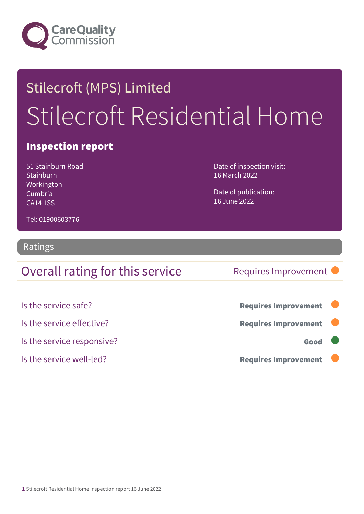

## Stilecroft (MPS) Limited Stilecroft Residential Home

#### Inspection report

51 Stainburn Road **Stainburn** Workington Cumbria CA14 1SS

Date of inspection visit: 16 March 2022

Date of publication: 16 June 2022

Tel: 01900603776

#### Ratings

### Overall rating for this service Requires Improvement

| Is the service safe?       | <b>Requires Improvement</b> |  |
|----------------------------|-----------------------------|--|
| Is the service effective?  | <b>Requires Improvement</b> |  |
| Is the service responsive? | Good                        |  |
| Is the service well-led?   | <b>Requires Improvement</b> |  |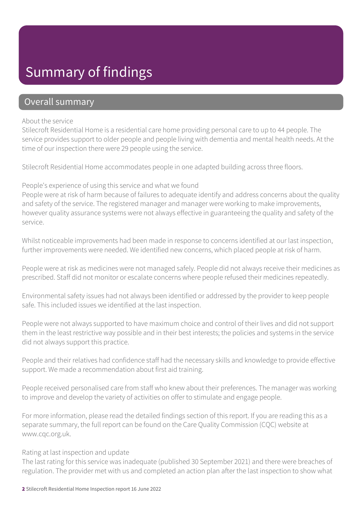### Summary of findings

#### Overall summary

#### About the service

Stilecroft Residential Home is a residential care home providing personal care to up to 44 people. The service provides support to older people and people living with dementia and mental health needs. At the time of our inspection there were 29 people using the service.

Stilecroft Residential Home accommodates people in one adapted building across three floors.

#### People's experience of using this service and what we found

People were at risk of harm because of failures to adequate identify and address concerns about the quality and safety of the service. The registered manager and manager were working to make improvements, however quality assurance systems were not always effective in guaranteeing the quality and safety of the service.

Whilst noticeable improvements had been made in response to concerns identified at our last inspection, further improvements were needed. We identified new concerns, which placed people at risk of harm.

People were at risk as medicines were not managed safely. People did not always receive their medicines as prescribed. Staff did not monitor or escalate concerns where people refused their medicines repeatedly.

Environmental safety issues had not always been identified or addressed by the provider to keep people safe. This included issues we identified at the last inspection.

People were not always supported to have maximum choice and control of their lives and did not support them in the least restrictive way possible and in their best interests; the policies and systems in the service did not always support this practice.

People and their relatives had confidence staff had the necessary skills and knowledge to provide effective support. We made a recommendation about first aid training.

People received personalised care from staff who knew about their preferences. The manager was working to improve and develop the variety of activities on offer to stimulate and engage people.

For more information, please read the detailed findings section of this report. If you are reading this as a separate summary, the full report can be found on the Care Quality Commission (CQC) website at www.cqc.org.uk.

#### Rating at last inspection and update

The last rating for this service was inadequate (published 30 September 2021) and there were breaches of regulation. The provider met with us and completed an action plan after the last inspection to show what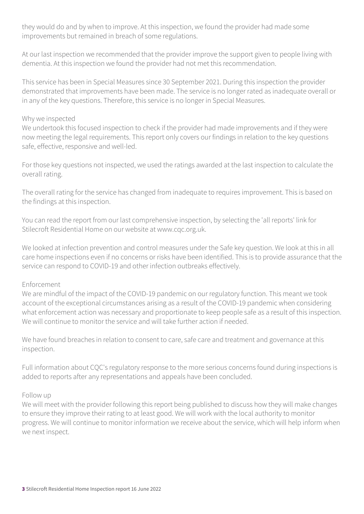they would do and by when to improve. At this inspection, we found the provider had made some improvements but remained in breach of some regulations.

At our last inspection we recommended that the provider improve the support given to people living with dementia. At this inspection we found the provider had not met this recommendation.

This service has been in Special Measures since 30 September 2021. During this inspection the provider demonstrated that improvements have been made. The service is no longer rated as inadequate overall or in any of the key questions. Therefore, this service is no longer in Special Measures.

#### Why we inspected

We undertook this focused inspection to check if the provider had made improvements and if they were now meeting the legal requirements. This report only covers our findings in relation to the key questions safe, effective, responsive and well-led.

For those key questions not inspected, we used the ratings awarded at the last inspection to calculate the overall rating.

The overall rating for the service has changed from inadequate to requires improvement. This is based on the findings at this inspection.

You can read the report from our last comprehensive inspection, by selecting the 'all reports' link for Stilecroft Residential Home on our website at www.cqc.org.uk.

We looked at infection prevention and control measures under the Safe key question. We look at this in all care home inspections even if no concerns or risks have been identified. This is to provide assurance that the service can respond to COVID-19 and other infection outbreaks effectively.

#### Enforcement

We are mindful of the impact of the COVID-19 pandemic on our regulatory function. This meant we took account of the exceptional circumstances arising as a result of the COVID-19 pandemic when considering what enforcement action was necessary and proportionate to keep people safe as a result of this inspection. We will continue to monitor the service and will take further action if needed.

We have found breaches in relation to consent to care, safe care and treatment and governance at this inspection.

Full information about CQC's regulatory response to the more serious concerns found during inspections is added to reports after any representations and appeals have been concluded.

#### Follow up

We will meet with the provider following this report being published to discuss how they will make changes to ensure they improve their rating to at least good. We will work with the local authority to monitor progress. We will continue to monitor information we receive about the service, which will help inform when we next inspect.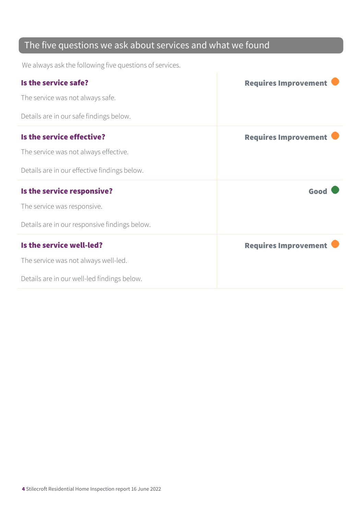### The five questions we ask about services and what we found

We always ask the following five questions of services.

| Is the service safe?                          | <b>Requires Improvement</b> |
|-----------------------------------------------|-----------------------------|
| The service was not always safe.              |                             |
| Details are in our safe findings below.       |                             |
| Is the service effective?                     | <b>Requires Improvement</b> |
| The service was not always effective.         |                             |
| Details are in our effective findings below.  |                             |
| Is the service responsive?                    | Good                        |
| The service was responsive.                   |                             |
| Details are in our responsive findings below. |                             |
| Is the service well-led?                      | <b>Requires Improvement</b> |
| The service was not always well-led.          |                             |
| Details are in our well-led findings below.   |                             |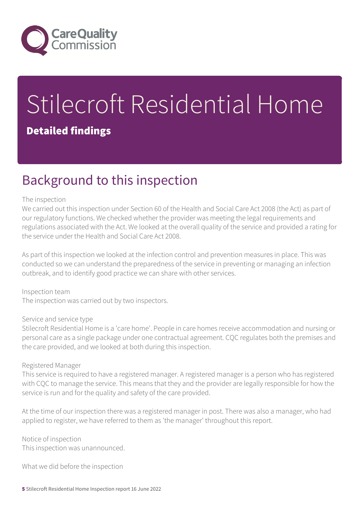

# Stilecroft Residential Home

#### Detailed findings

### Background to this inspection

#### The inspection

We carried out this inspection under Section 60 of the Health and Social Care Act 2008 (the Act) as part of our regulatory functions. We checked whether the provider was meeting the legal requirements and regulations associated with the Act. We looked at the overall quality of the service and provided a rating for the service under the Health and Social Care Act 2008.

As part of this inspection we looked at the infection control and prevention measures in place. This was conducted so we can understand the preparedness of the service in preventing or managing an infection outbreak, and to identify good practice we can share with other services.

Inspection team The inspection was carried out by two inspectors.

#### Service and service type

Stilecroft Residential Home is a 'care home'. People in care homes receive accommodation and nursing or personal care as a single package under one contractual agreement. CQC regulates both the premises and the care provided, and we looked at both during this inspection.

#### Registered Manager

This service is required to have a registered manager. A registered manager is a person who has registered with CQC to manage the service. This means that they and the provider are legally responsible for how the service is run and for the quality and safety of the care provided.

At the time of our inspection there was a registered manager in post. There was also a manager, who had applied to register, we have referred to them as 'the manager' throughout this report.

Notice of inspection This inspection was unannounced.

What we did before the inspection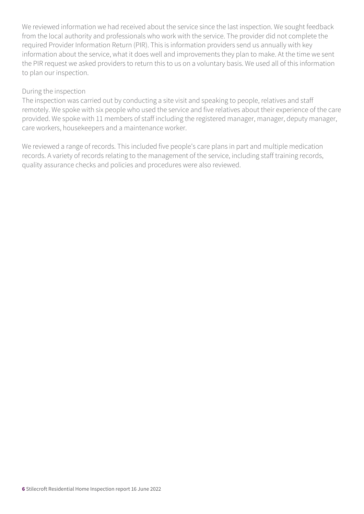We reviewed information we had received about the service since the last inspection. We sought feedback from the local authority and professionals who work with the service. The provider did not complete the required Provider Information Return (PIR). This is information providers send us annually with key information about the service, what it does well and improvements they plan to make. At the time we sent the PIR request we asked providers to return this to us on a voluntary basis. We used all of this information to plan our inspection.

#### During the inspection

The inspection was carried out by conducting a site visit and speaking to people, relatives and staff remotely. We spoke with six people who used the service and five relatives about their experience of the care provided. We spoke with 11 members of staff including the registered manager, manager, deputy manager, care workers, housekeepers and a maintenance worker.

We reviewed a range of records. This included five people's care plans in part and multiple medication records. A variety of records relating to the management of the service, including staff training records, quality assurance checks and policies and procedures were also reviewed.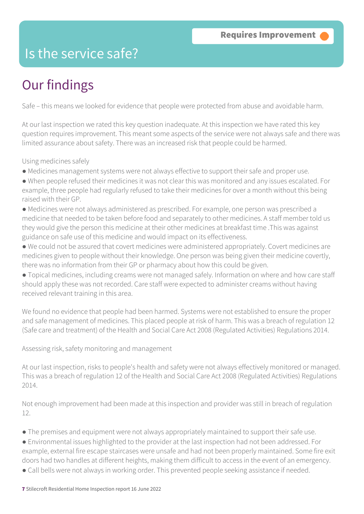### Is the service safe?

### Our findings

Safe – this means we looked for evidence that people were protected from abuse and avoidable harm.

At our last inspection we rated this key question inadequate. At this inspection we have rated this key question requires improvement. This meant some aspects of the service were not always safe and there was limited assurance about safety. There was an increased risk that people could be harmed.

Using medicines safely

- Medicines management systems were not always effective to support their safe and proper use.
- When people refused their medicines it was not clear this was monitored and any issues escalated. For example, three people had regularly refused to take their medicines for over a month without this being raised with their GP.
- Medicines were not always administered as prescribed. For example, one person was prescribed a medicine that needed to be taken before food and separately to other medicines. A staff member told us they would give the person this medicine at their other medicines at breakfast time .This was against guidance on safe use of this medicine and would impact on its effectiveness.
- We could not be assured that covert medicines were administered appropriately. Covert medicines are medicines given to people without their knowledge. One person was being given their medicine covertly, there was no information from their GP or pharmacy about how this could be given.
- Topical medicines, including creams were not managed safely. Information on where and how care staff should apply these was not recorded. Care staff were expected to administer creams without having received relevant training in this area.

We found no evidence that people had been harmed. Systems were not established to ensure the proper and safe management of medicines. This placed people at risk of harm. This was a breach of regulation 12 (Safe care and treatment) of the Health and Social Care Act 2008 (Regulated Activities) Regulations 2014.

Assessing risk, safety monitoring and management

At our last inspection, risks to people's health and safety were not always effectively monitored or managed. This was a breach of regulation 12 of the Health and Social Care Act 2008 (Regulated Activities) Regulations 2014.

Not enough improvement had been made at this inspection and provider was still in breach of regulation 12.

- The premises and equipment were not always appropriately maintained to support their safe use.
- Environmental issues highlighted to the provider at the last inspection had not been addressed. For example, external fire escape staircases were unsafe and had not been properly maintained. Some fire exit doors had two handles at different heights, making them difficult to access in the event of an emergency.

● Call bells were not always in working order. This prevented people seeking assistance if needed.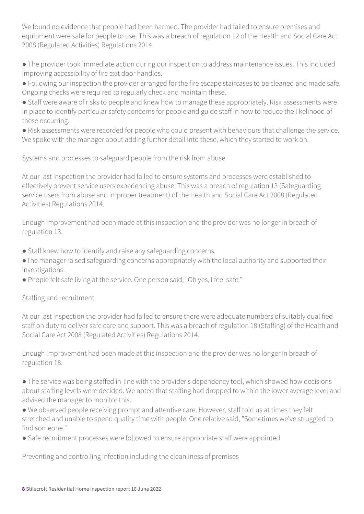We found no evidence that people had been harmed. The provider had failed to ensure premises and equipment were safe for people to use. This was a breach of regulation 12 of the Health and Social Care Act 2008 (Regulated Activities) Regulations 2014.

● The provider took immediate action during our inspection to address maintenance issues. This included improving accessibility of fire exit door handles.

● Following our inspection the provider arranged for the fire escape staircases to be cleaned and made safe. Ongoing checks were required to regularly check and maintain these.

● Staff were aware of risks to people and knew how to manage these appropriately. Risk assessments were in place to identify particular safety concerns for people and guide staff in how to reduce the likelihood of these occurring.

● Risk assessments were recorded for people who could present with behaviours that challenge the service. We spoke with the manager about adding further detail into these, which they started to work on.

Systems and processes to safeguard people from the risk from abuse

At our last inspection the provider had failed to ensure systems and processes were established to effectively prevent service users experiencing abuse. This was a breach of regulation 13 (Safeguarding service users from abuse and improper treatment) of the Health and Social Care Act 2008 (Regulated Activities) Regulations 2014.

Enough improvement had been made at this inspection and the provider was no longer in breach of regulation 13.

- Staff knew how to identify and raise any safeguarding concerns.
- ●The manager raised safeguarding concerns appropriately with the local authority and supported their investigations.
- People felt safe living at the service. One person said, "Oh yes, I feel safe."

#### Staffing and recruitment

At our last inspection the provider had failed to ensure there were adequate numbers of suitably qualified staff on duty to deliver safe care and support. This was a breach of regulation 18 (Staffing) of the Health and Social Care Act 2008 (Regulated Activities) Regulations 2014.

Enough improvement had been made at this inspection and the provider was no longer in breach of regulation 18.

● The service was being staffed in-line with the provider's dependency tool, which showed how decisions about staffing levels were decided. We noted that staffing had dropped to within the lower average level and advised the manager to monitor this.

● We observed people receiving prompt and attentive care. However, staff told us at times they felt stretched and unable to spend quality time with people. One relative said, "Sometimes we've struggled to find someone."

● Safe recruitment processes were followed to ensure appropriate staff were appointed.

Preventing and controlling infection including the cleanliness of premises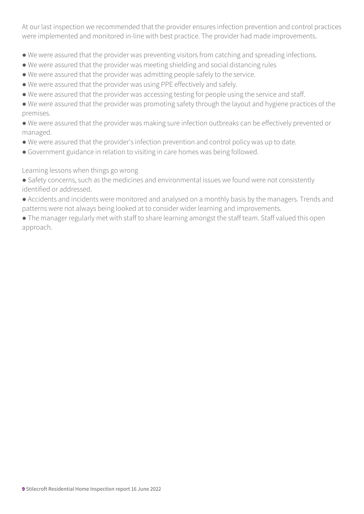At our last inspection we recommended that the provider ensures infection prevention and control practices were implemented and monitored in-line with best practice. The provider had made improvements.

- We were assured that the provider was preventing visitors from catching and spreading infections.
- We were assured that the provider was meeting shielding and social distancing rules
- We were assured that the provider was admitting people safely to the service.
- We were assured that the provider was using PPE effectively and safely.
- We were assured that the provider was accessing testing for people using the service and staff.
- We were assured that the provider was promoting safety through the layout and hygiene practices of the premises.

● We were assured that the provider was making sure infection outbreaks can be effectively prevented or managed.

- We were assured that the provider's infection prevention and control policy was up to date.
- Government guidance in relation to visiting in care homes was being followed.

Learning lessons when things go wrong

● Safety concerns, such as the medicines and environmental issues we found were not consistently identified or addressed.

- Accidents and incidents were monitored and analysed on a monthly basis by the managers. Trends and patterns were not always being looked at to consider wider learning and improvements.
- The manager regularly met with staff to share learning amongst the staff team. Staff valued this open approach.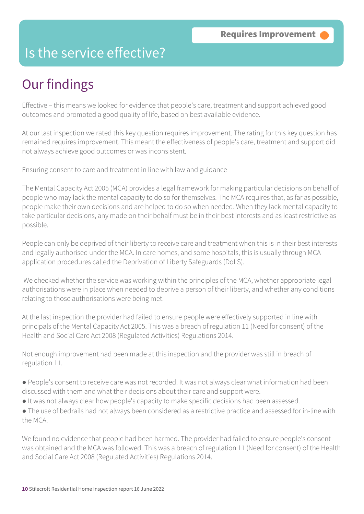### Is the service effective?

### Our findings

Effective – this means we looked for evidence that people's care, treatment and support achieved good outcomes and promoted a good quality of life, based on best available evidence.

At our last inspection we rated this key question requires improvement. The rating for this key question has remained requires improvement. This meant the effectiveness of people's care, treatment and support did not always achieve good outcomes or was inconsistent.

Ensuring consent to care and treatment in line with law and guidance

The Mental Capacity Act 2005 (MCA) provides a legal framework for making particular decisions on behalf of people who may lack the mental capacity to do so for themselves. The MCA requires that, as far as possible, people make their own decisions and are helped to do so when needed. When they lack mental capacity to take particular decisions, any made on their behalf must be in their best interests and as least restrictive as possible.

People can only be deprived of their liberty to receive care and treatment when this is in their best interests and legally authorised under the MCA. In care homes, and some hospitals, this is usually through MCA application procedures called the Deprivation of Liberty Safeguards (DoLS).

 We checked whether the service was working within the principles of the MCA, whether appropriate legal authorisations were in place when needed to deprive a person of their liberty, and whether any conditions relating to those authorisations were being met.

At the last inspection the provider had failed to ensure people were effectively supported in line with principals of the Mental Capacity Act 2005. This was a breach of regulation 11 (Need for consent) of the Health and Social Care Act 2008 (Regulated Activities) Regulations 2014.

Not enough improvement had been made at this inspection and the provider was still in breach of regulation 11.

- People's consent to receive care was not recorded. It was not always clear what information had been discussed with them and what their decisions about their care and support were.
- It was not always clear how people's capacity to make specific decisions had been assessed.
- The use of bedrails had not always been considered as a restrictive practice and assessed for in-line with the MCA.

We found no evidence that people had been harmed. The provider had failed to ensure people's consent was obtained and the MCA was followed. This was a breach of regulation 11 (Need for consent) of the Health and Social Care Act 2008 (Regulated Activities) Regulations 2014.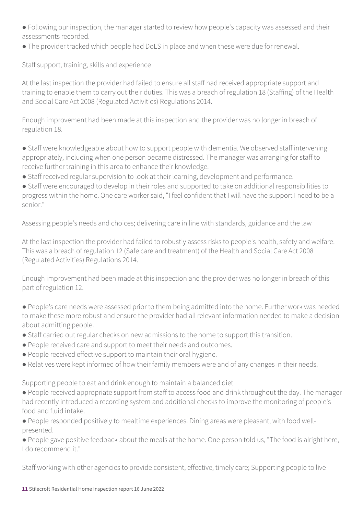● Following our inspection, the manager started to review how people's capacity was assessed and their assessments recorded.

● The provider tracked which people had DoLS in place and when these were due for renewal.

Staff support, training, skills and experience

At the last inspection the provider had failed to ensure all staff had received appropriate support and training to enable them to carry out their duties. This was a breach of regulation 18 (Staffing) of the Health and Social Care Act 2008 (Regulated Activities) Regulations 2014.

Enough improvement had been made at this inspection and the provider was no longer in breach of regulation 18.

• Staff were knowledgeable about how to support people with dementia. We observed staff intervening appropriately, including when one person became distressed. The manager was arranging for staff to receive further training in this area to enhance their knowledge.

● Staff received regular supervision to look at their learning, development and performance.

● Staff were encouraged to develop in their roles and supported to take on additional responsibilities to progress within the home. One care worker said, "I feel confident that I will have the support I need to be a senior."

Assessing people's needs and choices; delivering care in line with standards, guidance and the law

At the last inspection the provider had failed to robustly assess risks to people's health, safety and welfare. This was a breach of regulation 12 (Safe care and treatment) of the Health and Social Care Act 2008 (Regulated Activities) Regulations 2014.

Enough improvement had been made at this inspection and the provider was no longer in breach of this part of regulation 12.

● People's care needs were assessed prior to them being admitted into the home. Further work was needed to make these more robust and ensure the provider had all relevant information needed to make a decision about admitting people.

- Staff carried out regular checks on new admissions to the home to support this transition.
- People received care and support to meet their needs and outcomes.
- People received effective support to maintain their oral hygiene.
- Relatives were kept informed of how their family members were and of any changes in their needs.

Supporting people to eat and drink enough to maintain a balanced diet

- People received appropriate support from staff to access food and drink throughout the day. The manager had recently introduced a recording system and additional checks to improve the monitoring of people's food and fluid intake.
- People responded positively to mealtime experiences. Dining areas were pleasant, with food wellpresented.

● People gave positive feedback about the meals at the home. One person told us, "The food is alright here, I do recommend it."

Staff working with other agencies to provide consistent, effective, timely care; Supporting people to live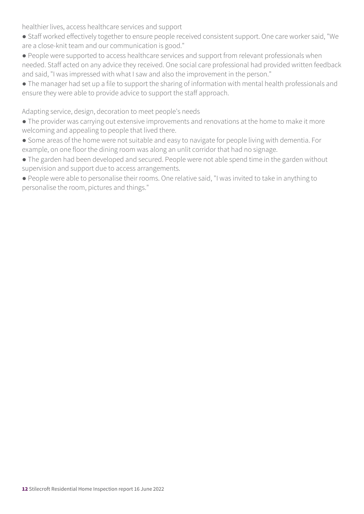healthier lives, access healthcare services and support

- Staff worked effectively together to ensure people received consistent support. One care worker said, "We are a close-knit team and our communication is good."
- People were supported to access healthcare services and support from relevant professionals when needed. Staff acted on any advice they received. One social care professional had provided written feedback and said, "I was impressed with what I saw and also the improvement in the person."
- The manager had set up a file to support the sharing of information with mental health professionals and ensure they were able to provide advice to support the staff approach.

Adapting service, design, decoration to meet people's needs

- The provider was carrying out extensive improvements and renovations at the home to make it more welcoming and appealing to people that lived there.
- Some areas of the home were not suitable and easy to navigate for people living with dementia. For example, on one floor the dining room was along an unlit corridor that had no signage.
- The garden had been developed and secured. People were not able spend time in the garden without supervision and support due to access arrangements.
- People were able to personalise their rooms. One relative said, "I was invited to take in anything to personalise the room, pictures and things."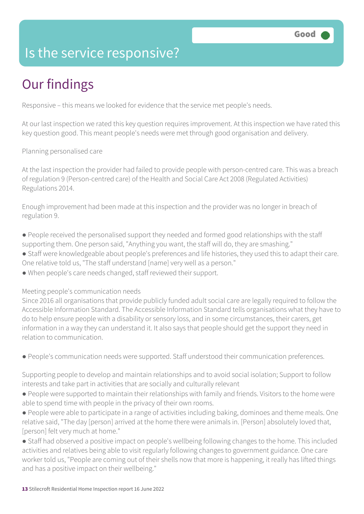### Is the service responsive?

### Our findings

Responsive – this means we looked for evidence that the service met people's needs.

At our last inspection we rated this key question requires improvement. At this inspection we have rated this key question good. This meant people's needs were met through good organisation and delivery.

Planning personalised care

At the last inspection the provider had failed to provide people with person-centred care. This was a breach of regulation 9 (Person-centred care) of the Health and Social Care Act 2008 (Regulated Activities) Regulations 2014.

Enough improvement had been made at this inspection and the provider was no longer in breach of regulation 9.

- People received the personalised support they needed and formed good relationships with the staff supporting them. One person said, "Anything you want, the staff will do, they are smashing."
- Staff were knowledgeable about people's preferences and life histories, they used this to adapt their care. One relative told us, "The staff understand [name] very well as a person."
- When people's care needs changed, staff reviewed their support.

Meeting people's communication needs

Since 2016 all organisations that provide publicly funded adult social care are legally required to follow the Accessible Information Standard. The Accessible Information Standard tells organisations what they have to do to help ensure people with a disability or sensory loss, and in some circumstances, their carers, get information in a way they can understand it. It also says that people should get the support they need in relation to communication.

● People's communication needs were supported. Staff understood their communication preferences.

Supporting people to develop and maintain relationships and to avoid social isolation; Support to follow interests and take part in activities that are socially and culturally relevant

- People were supported to maintain their relationships with family and friends. Visitors to the home were able to spend time with people in the privacy of their own rooms.
- People were able to participate in a range of activities including baking, dominoes and theme meals. One relative said, "The day [person] arrived at the home there were animals in. [Person] absolutely loved that, [person] felt very much at home."
- Staff had observed a positive impact on people's wellbeing following changes to the home. This included activities and relatives being able to visit regularly following changes to government guidance. One care worker told us, "People are coming out of their shells now that more is happening, it really has lifted things and has a positive impact on their wellbeing."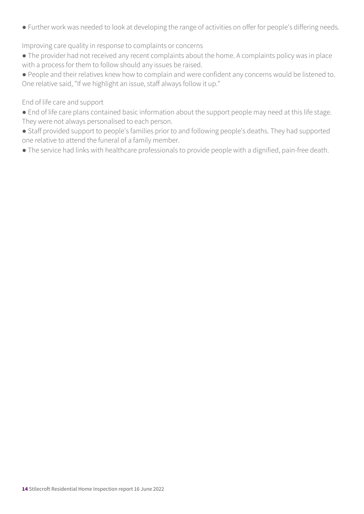● Further work was needed to look at developing the range of activities on offer for people's differing needs.

Improving care quality in response to complaints or concerns

● The provider had not received any recent complaints about the home. A complaints policy was in place with a process for them to follow should any issues be raised.

● People and their relatives knew how to complain and were confident any concerns would be listened to. One relative said, "If we highlight an issue, staff always follow it up."

#### End of life care and support

- End of life care plans contained basic information about the support people may need at this life stage. They were not always personalised to each person.
- Staff provided support to people's families prior to and following people's deaths. They had supported one relative to attend the funeral of a family member.
- The service had links with healthcare professionals to provide people with a dignified, pain-free death.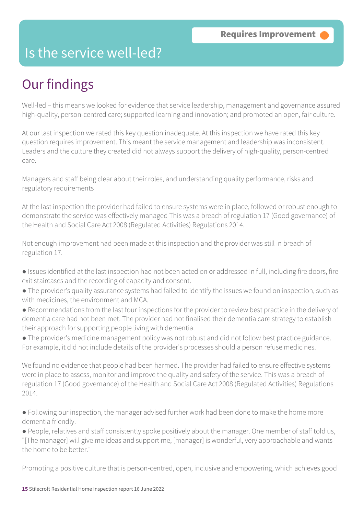### Is the service well-led?

### Our findings

Well-led – this means we looked for evidence that service leadership, management and governance assured high-quality, person-centred care; supported learning and innovation; and promoted an open, fair culture.

At our last inspection we rated this key question inadequate. At this inspection we have rated this key question requires improvement. This meant the service management and leadership was inconsistent. Leaders and the culture they created did not always support the delivery of high-quality, person-centred care.

Managers and staff being clear about their roles, and understanding quality performance, risks and regulatory requirements

At the last inspection the provider had failed to ensure systems were in place, followed or robust enough to demonstrate the service was effectively managed This was a breach of regulation 17 (Good governance) of the Health and Social Care Act 2008 (Regulated Activities) Regulations 2014.

Not enough improvement had been made at this inspection and the provider was still in breach of regulation 17.

- Issues identified at the last inspection had not been acted on or addressed in full, including fire doors, fire exit staircases and the recording of capacity and consent.
- The provider's quality assurance systems had failed to identify the issues we found on inspection, such as with medicines, the environment and MCA.
- Recommendations from the last four inspections for the provider to review best practice in the delivery of dementia care had not been met. The provider had not finalised their dementia care strategy to establish their approach for supporting people living with dementia.

● The provider's medicine management policy was not robust and did not follow best practice guidance. For example, it did not include details of the provider's processes should a person refuse medicines.

We found no evidence that people had been harmed. The provider had failed to ensure effective systems were in place to assess, monitor and improve the quality and safety of the service. This was a breach of regulation 17 (Good governance) of the Health and Social Care Act 2008 (Regulated Activities) Regulations  $2014$ 

● Following our inspection, the manager advised further work had been done to make the home more dementia friendly.

● People, relatives and staff consistently spoke positively about the manager. One member of staff told us, "[The manager] will give me ideas and support me, [manager] is wonderful, very approachable and wants the home to be better."

Promoting a positive culture that is person-centred, open, inclusive and empowering, which achieves good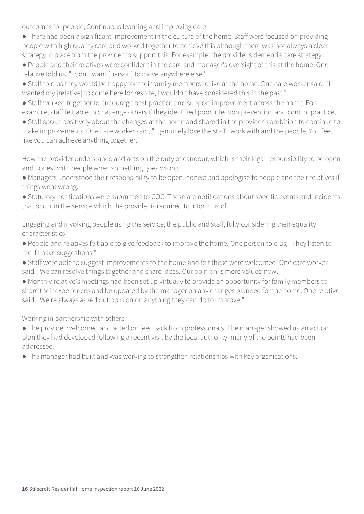outcomes for people; Continuous learning and improving care

- There had been a significant improvement in the culture of the home. Staff were focused on providing people with high quality care and worked together to achieve this although there was not always a clear strategy in place from the provider to support this. For example, the provider's dementia care strategy.
- People and their relatives were confident in the care and manager's oversight of this at the home. One relative told us, "I don't want [person] to move anywhere else."
- Staff told us they would be happy for their family members to live at the home. One care worker said, "I wanted my [relative] to come here for respite, I wouldn't have considered this in the past."
- Staff worked together to encourage best practice and support improvement across the home. For example, staff felt able to challenge others if they identified poor infection prevention and control practice.
- Staff spoke positively about the changes at the home and shared in the provider's ambition to continue to make improvements. One care worker said, "I genuinely love the staff I work with and the people. You feel like you can achieve anything together."

How the provider understands and acts on the duty of candour, which is their legal responsibility to be open and honest with people when something goes wrong

- Managers understood their responsibility to be open, honest and apologise to people and their relatives if things went wrong.
- Statutory notifications were submitted to CQC. These are notifications about specific events and incidents that occur in the service which the provider is required to inform us of.

Engaging and involving people using the service, the public and staff, fully considering their equality characteristics

- People and relatives felt able to give feedback to improve the home. One person told us, "They listen to me if I have suggestions."
- Staff were able to suggest improvements to the home and felt these were welcomed. One care worker said, "We can resolve things together and share ideas. Our opinion is more valued now."
- Monthly relative's meetings had been set up virtually to provide an opportunity for family members to share their experiences and be updated by the manager on any changes planned for the home. One relative said, "We're always asked out opinion on anything they can do to improve."

Working in partnership with others

- The provider welcomed and acted on feedback from professionals. The manager showed us an action plan they had developed following a recent visit by the local authority, many of the points had been addressed.
- The manager had built and was working to strengthen relationships with key organisations.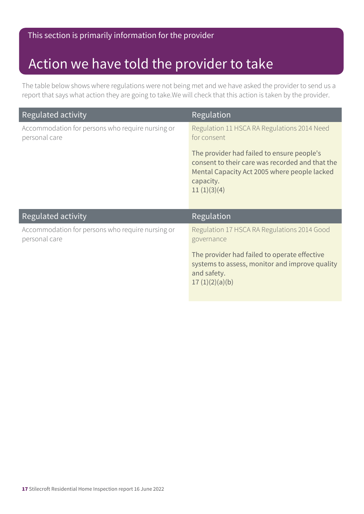### Action we have told the provider to take

The table below shows where regulations were not being met and we have asked the provider to send us a report that says what action they are going to take.We will check that this action is taken by the provider.

| Regulated activity                                                | Regulation                                                                                                                                                                |
|-------------------------------------------------------------------|---------------------------------------------------------------------------------------------------------------------------------------------------------------------------|
| Accommodation for persons who require nursing or<br>personal care | Regulation 11 HSCA RA Regulations 2014 Need<br>for consent                                                                                                                |
|                                                                   | The provider had failed to ensure people's<br>consent to their care was recorded and that the<br>Mental Capacity Act 2005 where people lacked<br>capacity.<br>11(1)(3)(4) |
| Regulated activity                                                | Regulation                                                                                                                                                                |
| Accommodation for persons who require nursing or<br>personal care | Regulation 17 HSCA RA Regulations 2014 Good<br>governance                                                                                                                 |
|                                                                   | The provider had failed to operate effective<br>systems to assess, monitor and improve quality<br>and safety.<br>17(1)(2)(a)(b)                                           |